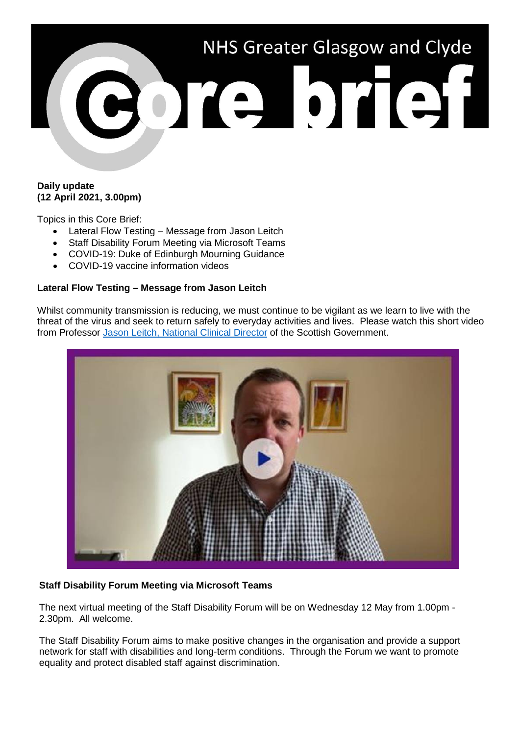

## **Daily update (12 April 2021, 3.00pm)**

Topics in this Core Brief:

- Lateral Flow Testing Message from Jason Leitch
- Staff Disability Forum Meeting via Microsoft Teams
- COVID-19: Duke of Edinburgh Mourning Guidance
- COVID-19 vaccine information videos

## **Lateral Flow Testing – Message from Jason Leitch**

Whilst community transmission is reducing, we must continue to be vigilant as we learn to live with the threat of the virus and seek to return safely to everyday activities and lives. Please watch this short video from Professor [Jason Leitch, National Clinical Director](https://youtu.be/L0AcWlToQsg) of the Scottish Government.



# **Staff Disability Forum Meeting via Microsoft Teams**

The next virtual meeting of the Staff Disability Forum will be on Wednesday 12 May from 1.00pm - 2.30pm. All welcome.

The Staff Disability Forum aims to make positive changes in the organisation and provide a support network for staff with disabilities and long-term conditions. Through the Forum we want to promote equality and protect disabled staff against discrimination.